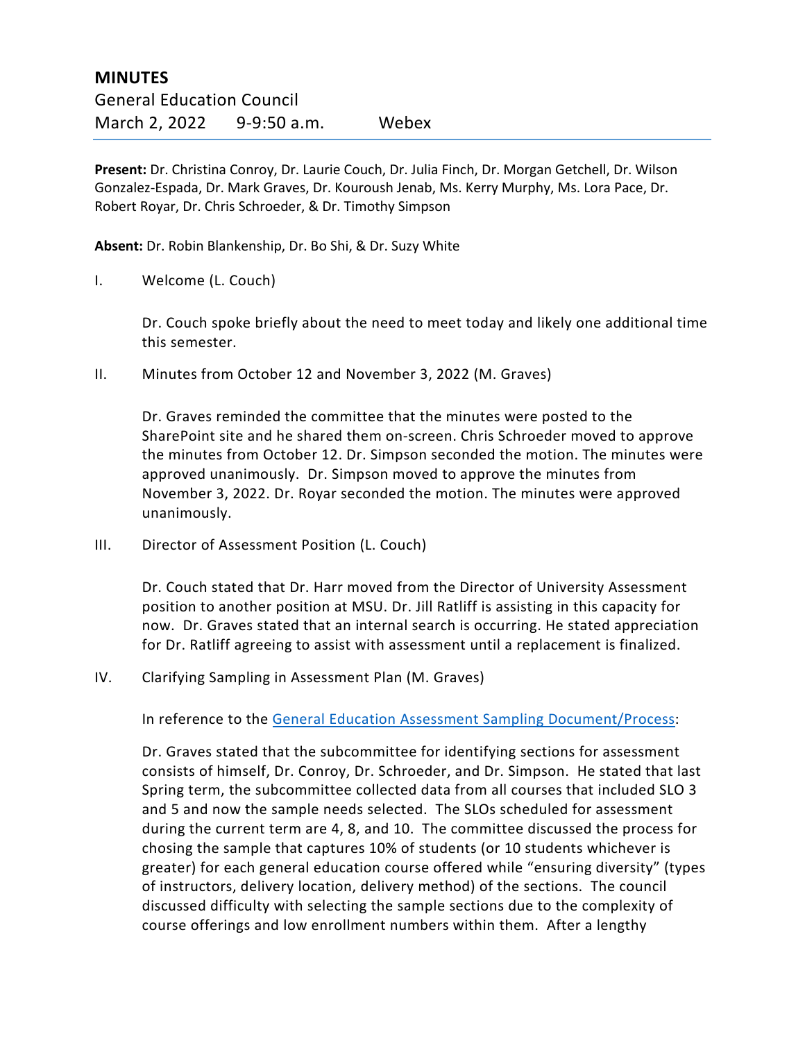**Present:** Dr. Christina Conroy, Dr. Laurie Couch, Dr. Julia Finch, Dr. Morgan Getchell, Dr. Wilson Gonzalez-Espada, Dr. Mark Graves, Dr. Kouroush Jenab, Ms. Kerry Murphy, Ms. Lora Pace, Dr. Robert Royar, Dr. Chris Schroeder, & Dr. Timothy Simpson

**Absent:** Dr. Robin Blankenship, Dr. Bo Shi, & Dr. Suzy White

I. Welcome (L. Couch)

Dr. Couch spoke briefly about the need to meet today and likely one additional time this semester.

II. Minutes from October 12 and November 3, 2022 (M. Graves)

Dr. Graves reminded the committee that the minutes were posted to the SharePoint site and he shared them on-screen. Chris Schroeder moved to approve the minutes from October 12. Dr. Simpson seconded the motion. The minutes were approved unanimously. Dr. Simpson moved to approve the minutes from November 3, 2022. Dr. Royar seconded the motion. The minutes were approved unanimously.

III. Director of Assessment Position (L. Couch)

Dr. Couch stated that Dr. Harr moved from the Director of University Assessment position to another position at MSU. Dr. Jill Ratliff is assisting in this capacity for now. Dr. Graves stated that an internal search is occurring. He stated appreciation for Dr. Ratliff agreeing to assist with assessment until a replacement is finalized.

IV. Clarifying Sampling in Assessment Plan (M. Graves)

In reference to the [General Education Assessment Sampling Document/Process:](https://www.moreheadstate.edu/MSU/media/Academic-Affairs/Gen%20Ed/2021/Assessment-Schedule-4-22-20.pdf)

Dr. Graves stated that the subcommittee for identifying sections for assessment consists of himself, Dr. Conroy, Dr. Schroeder, and Dr. Simpson. He stated that last Spring term, the subcommittee collected data from all courses that included SLO 3 and 5 and now the sample needs selected. The SLOs scheduled for assessment during the current term are 4, 8, and 10. The committee discussed the process for chosing the sample that captures 10% of students (or 10 students whichever is greater) for each general education course offered while "ensuring diversity" (types of instructors, delivery location, delivery method) of the sections. The council discussed difficulty with selecting the sample sections due to the complexity of course offerings and low enrollment numbers within them. After a lengthy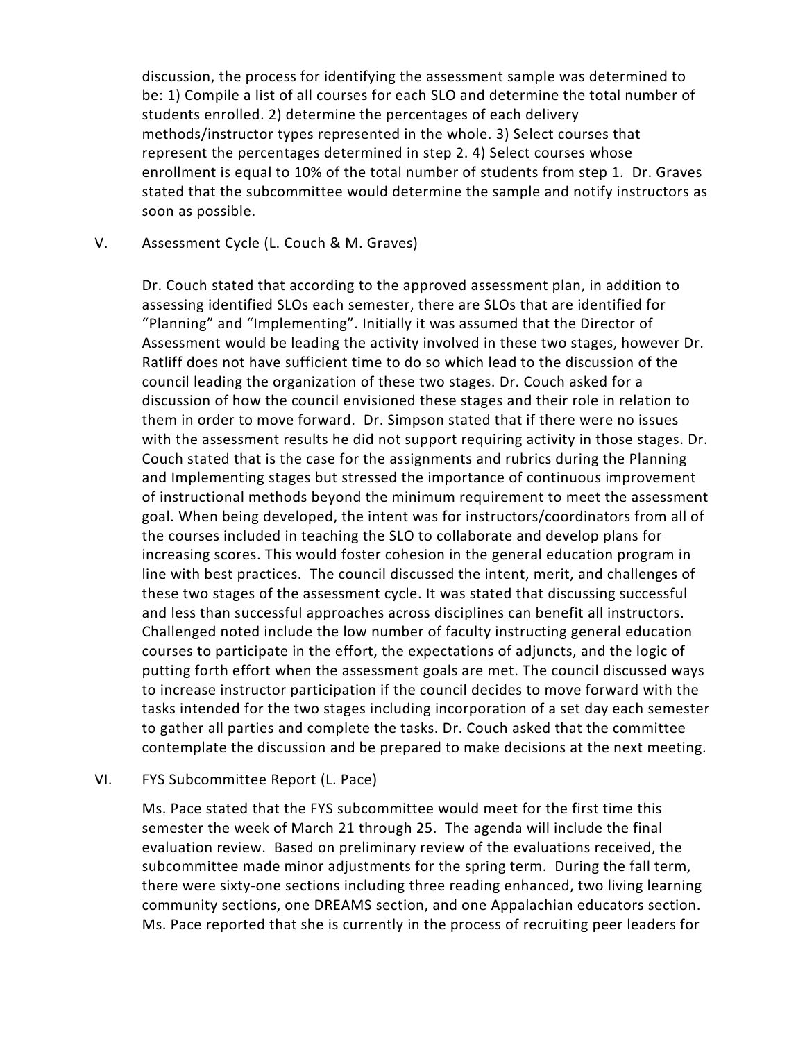discussion, the process for identifying the assessment sample was determined to be: 1) Compile a list of all courses for each SLO and determine the total number of students enrolled. 2) determine the percentages of each delivery methods/instructor types represented in the whole. 3) Select courses that represent the percentages determined in step 2. 4) Select courses whose enrollment is equal to 10% of the total number of students from step 1. Dr. Graves stated that the subcommittee would determine the sample and notify instructors as soon as possible.

## V. Assessment Cycle (L. Couch & M. Graves)

Dr. Couch stated that according to the approved assessment plan, in addition to assessing identified SLOs each semester, there are SLOs that are identified for "Planning" and "Implementing". Initially it was assumed that the Director of Assessment would be leading the activity involved in these two stages, however Dr. Ratliff does not have sufficient time to do so which lead to the discussion of the council leading the organization of these two stages. Dr. Couch asked for a discussion of how the council envisioned these stages and their role in relation to them in order to move forward. Dr. Simpson stated that if there were no issues with the assessment results he did not support requiring activity in those stages. Dr. Couch stated that is the case for the assignments and rubrics during the Planning and Implementing stages but stressed the importance of continuous improvement of instructional methods beyond the minimum requirement to meet the assessment goal. When being developed, the intent was for instructors/coordinators from all of the courses included in teaching the SLO to collaborate and develop plans for increasing scores. This would foster cohesion in the general education program in line with best practices. The council discussed the intent, merit, and challenges of these two stages of the assessment cycle. It was stated that discussing successful and less than successful approaches across disciplines can benefit all instructors. Challenged noted include the low number of faculty instructing general education courses to participate in the effort, the expectations of adjuncts, and the logic of putting forth effort when the assessment goals are met. The council discussed ways to increase instructor participation if the council decides to move forward with the tasks intended for the two stages including incorporation of a set day each semester to gather all parties and complete the tasks. Dr. Couch asked that the committee contemplate the discussion and be prepared to make decisions at the next meeting.

## VI. FYS Subcommittee Report (L. Pace)

Ms. Pace stated that the FYS subcommittee would meet for the first time this semester the week of March 21 through 25. The agenda will include the final evaluation review. Based on preliminary review of the evaluations received, the subcommittee made minor adjustments for the spring term. During the fall term, there were sixty-one sections including three reading enhanced, two living learning community sections, one DREAMS section, and one Appalachian educators section. Ms. Pace reported that she is currently in the process of recruiting peer leaders for